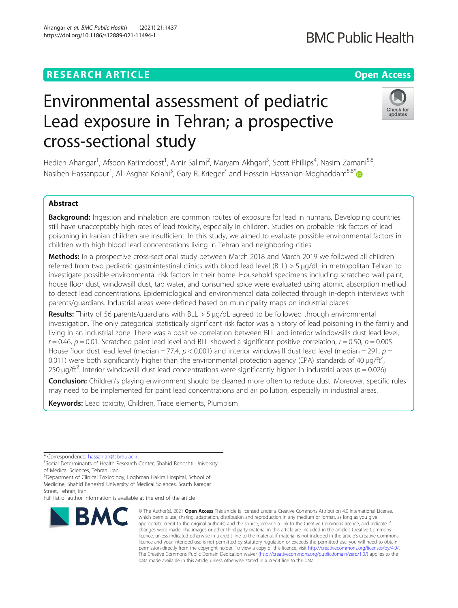# **RESEARCH ARTICLE Example 2014 12:30 The Contract of Contract ACCESS**

# Environmental assessment of pediatric Lead exposure in Tehran; a prospective cross-sectional study

Hedieh Ahangar<sup>1</sup>, Afsoon Karimdoost<sup>1</sup>, Amir Salimi<sup>2</sup>, Maryam Akhgari<sup>3</sup>, Scott Phillips<sup>4</sup>, Nasim Zamani<sup>5,6</sup>, Nasibeh Hassanpour<sup>1</sup>, Ali-Asghar Kolahi<sup>5</sup>, Gary R. Krieger<sup>7</sup> and Hossein Hassanian-Moghaddam<sup>5,6\*</sup>

# Abstract

Background: Ingestion and inhalation are common routes of exposure for lead in humans. Developing countries still have unacceptably high rates of lead toxicity, especially in children. Studies on probable risk factors of lead poisoning in Iranian children are insufficient. In this study, we aimed to evaluate possible environmental factors in children with high blood lead concentrations living in Tehran and neighboring cities.

Methods: In a prospective cross-sectional study between March 2018 and March 2019 we followed all children referred from two pediatric gastrointestinal clinics with blood lead level (BLL) > 5 μg/dL in metropolitan Tehran to investigate possible environmental risk factors in their home. Household specimens including scratched wall paint, house floor dust, windowsill dust, tap water, and consumed spice were evaluated using atomic absorption method to detect lead concentrations. Epidemiological and environmental data collected through in-depth interviews with parents/guardians. Industrial areas were defined based on municipality maps on industrial places.

Results: Thirty of 56 parents/guardians with BLL > 5 μg/dL agreed to be followed through environmental investigation. The only categorical statistically significant risk factor was a history of lead poisoning in the family and living in an industrial zone. There was a positive correlation between BLL and interior windowsills dust lead level,  $r = 0.46$ ,  $p = 0.01$ . Scratched paint lead level and BLL showed a significant positive correlation,  $r = 0.50$ ,  $p = 0.005$ . House floor dust lead level (median = 77.4,  $p < 0.001$ ) and interior windowsill dust lead level (median = 291,  $p =$ 0.011) were both significantly higher than the environmental protection agency (EPA) standards of 40  $\mu$ g/ft<sup>2</sup>, , 250  $\mu$ g/ft<sup>2</sup>. Interior windowsill dust lead concentrations were significantly higher in industrial areas ( $p = 0.026$ ).

Conclusion: Children's playing environment should be cleaned more often to reduce dust. Moreover, specific rules may need to be implemented for paint lead concentrations and air pollution, especially in industrial areas.

Keywords: Lead toxicity, Children, Trace elements, Plumbism

\* Correspondence: [hassanian@sbmu.ac.ir](mailto:hassanian@sbmu.ac.ir) <sup>5</sup>

**BMC** 

<sup>6</sup>Department of Clinical Toxicology, Loghman Hakim Hospital, School of Medicine, Shahid Beheshti University of Medical Sciences, South Karegar Street, Tehran, Iran

Full list of author information is available at the end of the article

© The Author(s), 2021 **Open Access** This article is licensed under a Creative Commons Attribution 4.0 International License, which permits use, sharing, adaptation, distribution and reproduction in any medium or format, as long as you give appropriate credit to the original author(s) and the source, provide a link to the Creative Commons licence, and indicate if changes were made. The images or other third party material in this article are included in the article's Creative Commons licence, unless indicated otherwise in a credit line to the material. If material is not included in the article's Creative Commons licence and your intended use is not permitted by statutory regulation or exceeds the permitted use, you will need to obtain permission directly from the copyright holder. To view a copy of this licence, visit [http://creativecommons.org/licenses/by/4.0/.](http://creativecommons.org/licenses/by/4.0/) The Creative Commons Public Domain Dedication waiver [\(http://creativecommons.org/publicdomain/zero/1.0/](http://creativecommons.org/publicdomain/zero/1.0/)) applies to the data made available in this article, unless otherwise stated in a credit line to the data.





<sup>&</sup>lt;sup>5</sup>Social Determinants of Health Research Center, Shahid Beheshti University of Medical Sciences, Tehran, Iran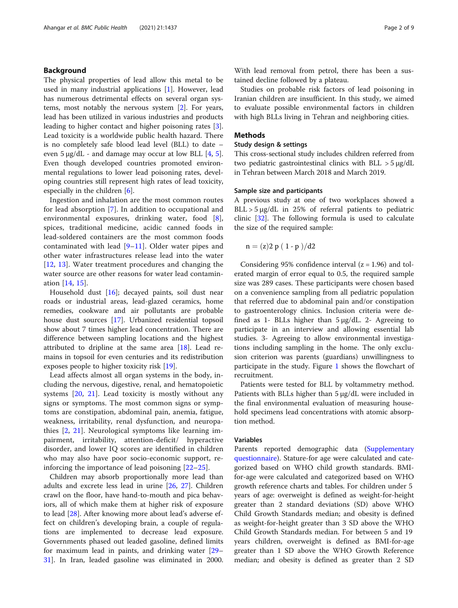# Background

The physical properties of lead allow this metal to be used in many industrial applications [[1\]](#page-7-0). However, lead has numerous detrimental effects on several organ systems, most notably the nervous system [[2\]](#page-7-0). For years, lead has been utilized in various industries and products leading to higher contact and higher poisoning rates [\[3](#page-7-0)]. Lead toxicity is a worldwide public health hazard. There is no completely safe blood lead level (BLL) to date – even  $5 \mu g/dL$  $5 \mu g/dL$  - and damage may occur at low BLL [\[4](#page-7-0), 5]. Even though developed countries promoted environmental regulations to lower lead poisoning rates, developing countries still represent high rates of lead toxicity, especially in the children [[6\]](#page-7-0).

Ingestion and inhalation are the most common routes for lead absorption [\[7](#page-7-0)]. In addition to occupational and environmental exposures, drinking water, food [\[8](#page-7-0)], spices, traditional medicine, acidic canned foods in lead-soldered containers are the most common foods contaminated with lead  $[9-11]$  $[9-11]$  $[9-11]$  $[9-11]$ . Older water pipes and other water infrastructures release lead into the water [[12,](#page-8-0) [13\]](#page-8-0). Water treatment procedures and changing the water source are other reasons for water lead contamination [[14,](#page-8-0) [15](#page-8-0)].

Household dust [\[16](#page-8-0)]; decayed paints, soil dust near roads or industrial areas, lead-glazed ceramics, home remedies, cookware and air pollutants are probable house dust sources [[17](#page-8-0)]. Urbanized residential topsoil show about 7 times higher lead concentration. There are difference between sampling locations and the highest attributed to dripline at the same area  $[18]$  $[18]$ . Lead remains in topsoil for even centuries and its redistribution exposes people to higher toxicity risk [\[19](#page-8-0)].

Lead affects almost all organ systems in the body, including the nervous, digestive, renal, and hematopoietic systems [[20,](#page-8-0) [21](#page-8-0)]. Lead toxicity is mostly without any signs or symptoms. The most common signs or symptoms are constipation, abdominal pain, anemia, fatigue, weakness, irritability, renal dysfunction, and neuropathies [[2,](#page-7-0) [21](#page-8-0)]. Neurological symptoms like learning impairment, irritability, attention-deficit/ hyperactive disorder, and lower IQ scores are identified in children who may also have poor socio-economic support, reinforcing the importance of lead poisoning [\[22](#page-8-0)–[25](#page-8-0)].

Children may absorb proportionally more lead than adults and excrete less lead in urine [\[26,](#page-8-0) [27](#page-8-0)]. Children crawl on the floor, have hand-to-mouth and pica behaviors, all of which make them at higher risk of exposure to lead [[28](#page-8-0)]. After knowing more about lead's adverse effect on children's developing brain, a couple of regulations are implemented to decrease lead exposure. Governments phased out leaded gasoline, defined limits for maximum lead in paints, and drinking water [[29](#page-8-0)– [31\]](#page-8-0). In Iran, leaded gasoline was eliminated in 2000. With lead removal from petrol, there has been a sustained decline followed by a plateau.

Studies on probable risk factors of lead poisoning in Iranian children are insufficient. In this study, we aimed to evaluate possible environmental factors in children with high BLLs living in Tehran and neighboring cities.

# Methods

# Study design & settings

This cross-sectional study includes children referred from two pediatric gastrointestinal clinics with BLL > 5 μg/dL in Tehran between March 2018 and March 2019.

# Sample size and participants

A previous study at one of two workplaces showed a BLL > 5 μg/dL in 25% of referral patients to pediatric clinic [[32](#page-8-0)]. The following formula is used to calculate the size of the required sample:

$$
n = (z)2 p (1-p)/d2
$$

Considering 95% confidence interval  $(z = 1.96)$  and tolerated margin of error equal to 0.5, the required sample size was 289 cases. These participants were chosen based on a convenience sampling from all pediatric population that referred due to abdominal pain and/or constipation to gastroenterology clinics. Inclusion criteria were defined as 1- BLLs higher than 5 μg/dL. 2- Agreeing to participate in an interview and allowing essential lab studies. 3- Agreeing to allow environmental investigations including sampling in the home. The only exclusion criterion was parents (guardians) unwillingness to participate in the study. Figure [1](#page-2-0) shows the flowchart of recruitment.

Patients were tested for BLL by voltammetry method. Patients with BLLs higher than 5 μg/dL were included in the final environmental evaluation of measuring household specimens lead concentrations with atomic absorption method.

# Variables

Parents reported demographic data [\(Supplementary](#page-7-0) [questionnaire](#page-7-0)). Stature-for age were calculated and categorized based on WHO child growth standards. BMIfor-age were calculated and categorized based on WHO growth reference charts and tables. For children under 5 years of age: overweight is defined as weight-for-height greater than 2 standard deviations (SD) above WHO Child Growth Standards median; and obesity is defined as weight-for-height greater than 3 SD above the WHO Child Growth Standards median. For between 5 and 19 years children, overweight is defined as BMI-for-age greater than 1 SD above the WHO Growth Reference median; and obesity is defined as greater than 2 SD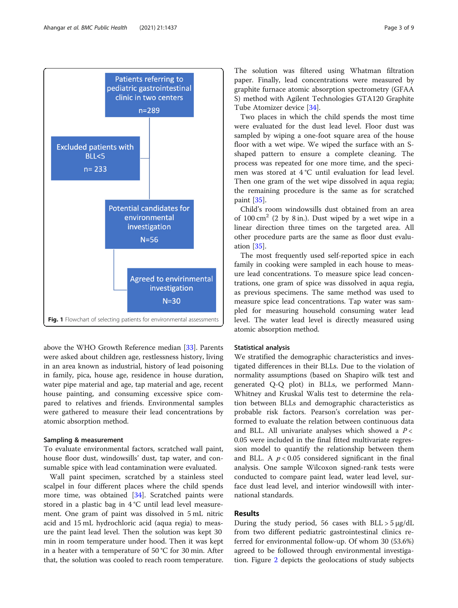<span id="page-2-0"></span>

above the WHO Growth Reference median [[33\]](#page-8-0). Parents were asked about children age, restlessness history, living in an area known as industrial, history of lead poisoning in family, pica, house age, residence in house duration, water pipe material and age, tap material and age, recent house painting, and consuming excessive spice compared to relatives and friends. Environmental samples were gathered to measure their lead concentrations by atomic absorption method.

### Sampling & measurement

To evaluate environmental factors, scratched wall paint, house floor dust, windowsills' dust, tap water, and consumable spice with lead contamination were evaluated.

Wall paint specimen, scratched by a stainless steel scalpel in four different places where the child spends more time, was obtained [[34](#page-8-0)]. Scratched paints were stored in a plastic bag in 4 °C until lead level measurement. One gram of paint was dissolved in 5 mL nitric acid and 15 mL hydrochloric acid (aqua regia) to measure the paint lead level. Then the solution was kept 30 min in room temperature under hood. Then it was kept in a heater with a temperature of 50 °C for 30 min. After that, the solution was cooled to reach room temperature.

The solution was filtered using Whatman filtration paper. Finally, lead concentrations were measured by graphite furnace atomic absorption spectrometry (GFAA S) method with Agilent Technologies GTA120 Graphite Tube Atomizer device [[34\]](#page-8-0).

Two places in which the child spends the most time were evaluated for the dust lead level. Floor dust was sampled by wiping a one-foot square area of the house floor with a wet wipe. We wiped the surface with an Sshaped pattern to ensure a complete cleaning. The process was repeated for one more time, and the specimen was stored at 4 °C until evaluation for lead level. Then one gram of the wet wipe dissolved in aqua regia; the remaining procedure is the same as for scratched paint [[35](#page-8-0)].

Child's room windowsills dust obtained from an area of  $100 \text{ cm}^2$  (2 by 8 in.). Dust wiped by a wet wipe in a linear direction three times on the targeted area. All other procedure parts are the same as floor dust evaluation [\[35](#page-8-0)].

The most frequently used self-reported spice in each family in cooking were sampled in each house to measure lead concentrations. To measure spice lead concentrations, one gram of spice was dissolved in aqua regia, as previous specimens. The same method was used to measure spice lead concentrations. Tap water was sampled for measuring household consuming water lead level. The water lead level is directly measured using atomic absorption method.

# Statistical analysis

We stratified the demographic characteristics and investigated differences in their BLLs. Due to the violation of normality assumptions (based on Shapiro wilk test and generated Q-Q plot) in BLLs, we performed Mann-Whitney and Kruskal Walis test to determine the relation between BLLs and demographic characteristics as probable risk factors. Pearson's correlation was performed to evaluate the relation between continuous data and BLL. All univariate analyses which showed a  $P <$ 0.05 were included in the final fitted multivariate regression model to quantify the relationship between them and BLL. A  $p < 0.05$  considered significant in the final analysis. One sample Wilcoxon signed-rank tests were conducted to compare paint lead, water lead level, surface dust lead level, and interior windowsill with international standards.

# Results

During the study period, 56 cases with  $BLL > 5 \mu g/dL$ from two different pediatric gastrointestinal clinics referred for environmental follow-up. Of whom 30 (53.6%) agreed to be followed through environmental investigation. Figure [2](#page-3-0) depicts the geolocations of study subjects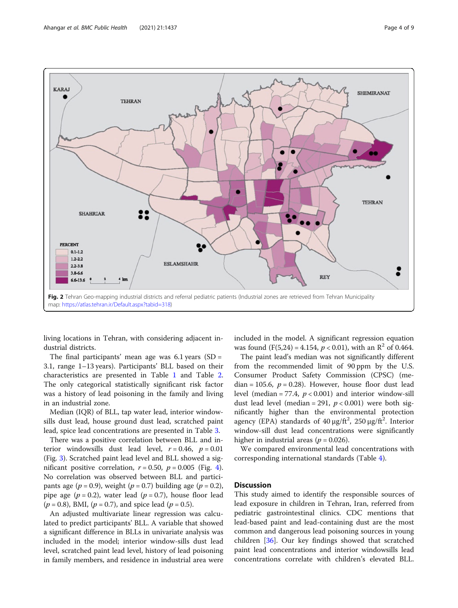<span id="page-3-0"></span>

living locations in Tehran, with considering adjacent industrial districts.

The final participants' mean age was  $6.1$  years (SD = 3.1, range 1–13 years). Participants' BLL based on their characteristics are presented in Table [1](#page-4-0) and Table [2](#page-5-0). The only categorical statistically significant risk factor was a history of lead poisoning in the family and living in an industrial zone.

Median (IQR) of BLL, tap water lead, interior windowsills dust lead, house ground dust lead, scratched paint lead, spice lead concentrations are presented in Table [3](#page-5-0).

There was a positive correlation between BLL and interior windowsills dust lead level,  $r = 0.46$ ,  $p = 0.01$ (Fig. [3](#page-6-0)). Scratched paint lead level and BLL showed a significant positive correlation,  $r = 0.50$ ,  $p = 0.005$  (Fig. [4](#page-6-0)). No correlation was observed between BLL and participants age ( $p = 0.9$ ), weight ( $p = 0.7$ ) building age ( $p = 0.2$ ), pipe age ( $p = 0.2$ ), water lead ( $p = 0.7$ ), house floor lead  $(p = 0.8)$ , BMI,  $(p = 0.7)$ , and spice lead  $(p = 0.5)$ .

An adjusted multivariate linear regression was calculated to predict participants' BLL. A variable that showed a significant difference in BLLs in univariate analysis was included in the model; interior window-sills dust lead level, scratched paint lead level, history of lead poisoning in family members, and residence in industrial area were included in the model. A significant regression equation was found  $(F(5,24) = 4.154, p < 0.01)$ , with an  $\mathbb{R}^2$  of 0.464.

The paint lead's median was not significantly different from the recommended limit of 90 ppm by the U.S. Consumer Product Safety Commission (CPSC) (median = 105.6,  $p = 0.28$ ). However, house floor dust lead level (median = 77.4,  $p < 0.001$ ) and interior window-sill dust lead level (median = 291,  $p < 0.001$ ) were both significantly higher than the environmental protection agency (EPA) standards of  $40 \mu g / \text{ft}^2$ ,  $250 \mu g / \text{ft}^2$ . Interior window-sill dust lead concentrations were significantly higher in industrial areas ( $p = 0.026$ ).

We compared environmental lead concentrations with corresponding international standards (Table [4\)](#page-7-0).

# **Discussion**

This study aimed to identify the responsible sources of lead exposure in children in Tehran, Iran, referred from pediatric gastrointestinal clinics. CDC mentions that lead-based paint and lead-containing dust are the most common and dangerous lead poisoning sources in young children [\[36](#page-8-0)]. Our key findings showed that scratched paint lead concentrations and interior windowsills lead concentrations correlate with children's elevated BLL.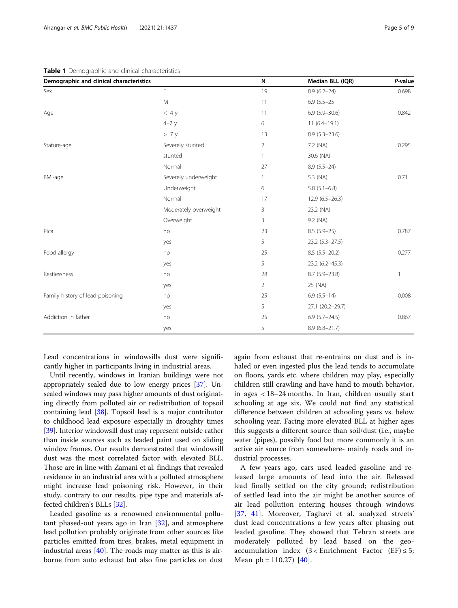# <span id="page-4-0"></span>Table 1 Demographic and clinical characteristics

| Demographic and clinical characteristics |                       | N              | Median BLL (IQR)   | P-value |
|------------------------------------------|-----------------------|----------------|--------------------|---------|
| Sex                                      | $\mathsf F$           | 19             | $8.9(6.2 - 24)$    | 0.698   |
|                                          | M                     | 11             | $6.9(5.5-25)$      |         |
| Age                                      | $<$ 4 y               | 11             | $6.9(5.9 - 30.6)$  | 0.842   |
|                                          | $4-7y$                | 6              | $11(6.4 - 19.1)$   |         |
|                                          | > 7y                  | 13             | $8.9(5.3 - 23.6)$  |         |
| Stature-age                              | Severely stunted      | $\overline{2}$ | 7.2 (NA)           | 0.295   |
|                                          | stunted               | $\mathbf{1}$   | 30.6 (NA)          |         |
|                                          | Normal                | 27             | $8.9(5.5-24)$      |         |
| BMI-age                                  | Severely underweight  | $\mathbf{1}$   | 5.3 (NA)           | 0.71    |
|                                          | Underweight           | 6              | $5.8(5.1 - 6.8)$   |         |
|                                          | Normal                | 17             | $12.9(6.5-26.3)$   |         |
|                                          | Moderately overweight | 3              | 23.2 (NA)          |         |
|                                          | Overweight            | 3              | 9.2 (NA)           |         |
| Pica                                     | no                    | 23             | $8.5(5.9-25)$      | 0.787   |
|                                          | yes                   | 5              | $23.2(5.3 - 27.5)$ |         |
| Food allergy                             | no                    | 25             | $8.5(5.5-20.2)$    | 0.277   |
|                                          | yes                   | 5              | 23.2 (6.2-45.3)    |         |
| Restlessness                             | no                    | 28             | $8.7(5.9-23.8)$    | 1       |
|                                          | yes                   | $\overline{2}$ | 25 (NA)            |         |
| Family history of lead poisoning         | no                    | 25             | $6.9(5.5-14)$      | 0.008   |
|                                          | yes                   | 5              | 27.1 (20.2-29.7)   |         |
| Addiction in father                      | no                    | 25             | $6.9(5.7 - 24.5)$  | 0.867   |
|                                          | yes                   | 5              | $8.9(6.8 - 21.7)$  |         |

Lead concentrations in windowsills dust were significantly higher in participants living in industrial areas.

Until recently, windows in Iranian buildings were not appropriately sealed due to low energy prices [\[37\]](#page-8-0). Unsealed windows may pass higher amounts of dust originating directly from polluted air or redistribution of topsoil containing lead [\[38\]](#page-8-0). Topsoil lead is a major contributor to childhood lead exposure especially in droughty times [[39](#page-8-0)]. Interior windowsill dust may represent outside rather than inside sources such as leaded paint used on sliding window frames. Our results demonstrated that windowsill dust was the most correlated factor with elevated BLL. Those are in line with Zamani et al. findings that revealed residence in an industrial area with a polluted atmosphere might increase lead poisoning risk. However, in their study, contrary to our results, pipe type and materials affected children's BLLs [\[32\]](#page-8-0).

Leaded gasoline as a renowned environmental pollutant phased-out years ago in Iran [[32\]](#page-8-0), and atmosphere lead pollution probably originate from other sources like particles emitted from tires, brakes, metal equipment in industrial areas [\[40](#page-8-0)]. The roads may matter as this is airborne from auto exhaust but also fine particles on dust

again from exhaust that re-entrains on dust and is inhaled or even ingested plus the lead tends to accumulate on floors, yards etc. where children may play, especially children still crawling and have hand to mouth behavior, in ages < 18–24 months. In Iran, children usually start schooling at age six. We could not find any statistical difference between children at schooling years vs. below schooling year. Facing more elevated BLL at higher ages this suggests a different source than soil/dust (i.e., maybe water (pipes), possibly food but more commonly it is an active air source from somewhere- mainly roads and industrial processes.

A few years ago, cars used leaded gasoline and released large amounts of lead into the air. Released lead finally settled on the city ground; redistribution of settled lead into the air might be another source of air lead pollution entering houses through windows [[37,](#page-8-0) [41\]](#page-8-0). Moreover, Taghavi et al. analyzed streets' dust lead concentrations a few years after phasing out leaded gasoline. They showed that Tehran streets are moderately polluted by lead based on the geoaccumulation index  $(3 \lt \text{Enrichment Factor} (EF) \leq 5;$ Mean  $pb = 110.27$  [\[40](#page-8-0)].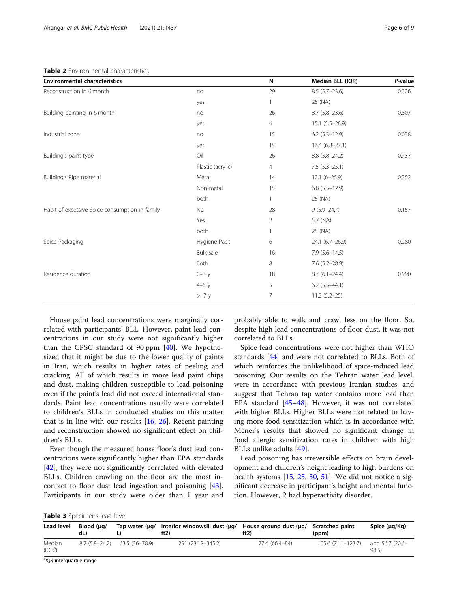# <span id="page-5-0"></span>Table 2 Environmental characteristics

| <b>Environmental characteristics</b>           |                   | N              | Median BLL (IQR)    | P-value |
|------------------------------------------------|-------------------|----------------|---------------------|---------|
| Reconstruction in 6 month                      | no                | 29             | $8.5(5.7-23.6)$     | 0.326   |
|                                                | yes               |                | 25 (NA)             |         |
| Building painting in 6 month                   | no                | 26             | $8.7(5.8-23.6)$     | 0.807   |
|                                                | yes               | $\overline{4}$ | $15.1 (5.5 - 28.9)$ |         |
| Industrial zone                                | no                | 15             | $6.2$ (5.3-12.9)    | 0.038   |
|                                                | yes               | 15             | $16.4(6.8-27.1)$    |         |
| Building's paint type                          | Oil               | 26             | $8.8(5.8-24.2)$     | 0.737   |
|                                                | Plastic (acrylic) | 4              | $7.5(5.3-25.1)$     |         |
| Building's Pipe material                       | Metal             | 14             | $12.1 (6 - 25.9)$   | 0.352   |
|                                                | Non-metal         | 15             | $6.8$ $(5.5-12.9)$  |         |
|                                                | both              |                | 25 (NA)             |         |
| Habit of excessive Spice consumption in family | No                | 28             | $9(5.9 - 24.7)$     | 0.157   |
|                                                | Yes               | 2              | 5.7 (NA)            |         |
|                                                | both              |                | 25 (NA)             |         |
| Spice Packaging                                | Hygiene Pack      | 6              | 24.1 (6.7-26.9)     | 0.280   |
|                                                | Bulk-sale         | 16             | $7.9(5.6 - 14.5)$   |         |
|                                                | Both              | 8              | $7.6(5.2 - 28.9)$   |         |
| Residence duration                             | $0 - 3y$          | 18             | $8.7(6.1 - 24.4)$   | 0.990   |
|                                                | $4-6y$            | 5              | $6.2$ $(5.5-44.1)$  |         |
|                                                | > 7y              | 7              | $11.2(5.2-25)$      |         |

House paint lead concentrations were marginally correlated with participants' BLL. However, paint lead concentrations in our study were not significantly higher than the CPSC standard of 90 ppm [[40](#page-8-0)]. We hypothesized that it might be due to the lower quality of paints in Iran, which results in higher rates of peeling and cracking. All of which results in more lead paint chips and dust, making children susceptible to lead poisoning even if the paint's lead did not exceed international standards. Paint lead concentrations usually were correlated to children's BLLs in conducted studies on this matter that is in line with our results  $[16, 26]$  $[16, 26]$  $[16, 26]$  $[16, 26]$  $[16, 26]$ . Recent painting and reconstruction showed no significant effect on children's BLLs.

Even though the measured house floor's dust lead concentrations were significantly higher than EPA standards [[42\]](#page-8-0), they were not significantly correlated with elevated BLLs. Children crawling on the floor are the most incontact to floor dust lead ingestion and poisoning [\[43](#page-8-0)]. Participants in our study were older than 1 year and

probably able to walk and crawl less on the floor. So, despite high lead concentrations of floor dust, it was not correlated to BLLs.

Spice lead concentrations were not higher than WHO standards [\[44](#page-8-0)] and were not correlated to BLLs. Both of which reinforces the unlikelihood of spice-induced lead poisoning. Our results on the Tehran water lead level, were in accordance with previous Iranian studies, and suggest that Tehran tap water contains more lead than EPA standard [\[45](#page-8-0)–[48\]](#page-8-0). However, it was not correlated with higher BLLs. Higher BLLs were not related to having more food sensitization which is in accordance with Mener's results that showed no significant change in food allergic sensitization rates in children with high BLLs unlike adults [[49\]](#page-8-0).

Lead poisoning has irreversible effects on brain development and children's height leading to high burdens on health systems [\[15](#page-8-0), [25,](#page-8-0) [50](#page-8-0), [51\]](#page-8-0). We did not notice a significant decrease in participant's height and mental function. However, 2 had hyperactivity disorder.

|  |  | Table 3 Specimens lead level |  |  |
|--|--|------------------------------|--|--|
|--|--|------------------------------|--|--|

| Lead level                           | Blood (ua/<br>dL) | Tap water $(\mu q)$ | Interior windowsill dust (µq/<br>ft2) | House ground dust (µg/<br>ft2) | <b>Scratched paint</b><br>(ppm) | Spice (µg/Kg)           |
|--------------------------------------|-------------------|---------------------|---------------------------------------|--------------------------------|---------------------------------|-------------------------|
| Median<br>(IQR <sup>a</sup> )        | $8.7(5.8-24.2)$   | 63.5 (36–78.9)      | 291 (231.2-345.2)                     | 77.4 (66.4-84)                 | $105.6(71.1 - 123.7)$           | and 56.7 (20.6-<br>98.5 |
| <sup>a</sup> IOR interguartile range |                   |                     |                                       |                                |                                 |                         |

IQR interquartile range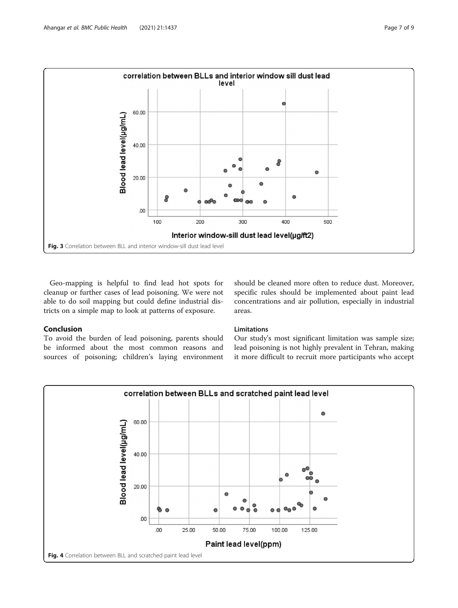<span id="page-6-0"></span>

Geo-mapping is helpful to find lead hot spots for cleanup or further cases of lead poisoning. We were not able to do soil mapping but could define industrial districts on a simple map to look at patterns of exposure.

# Conclusion

To avoid the burden of lead poisoning, parents should be informed about the most common reasons and sources of poisoning; children's laying environment should be cleaned more often to reduce dust. Moreover, specific rules should be implemented about paint lead concentrations and air pollution, especially in industrial areas.

# **Limitations**

Our study's most significant limitation was sample size; lead poisoning is not highly prevalent in Tehran, making it more difficult to recruit more participants who accept

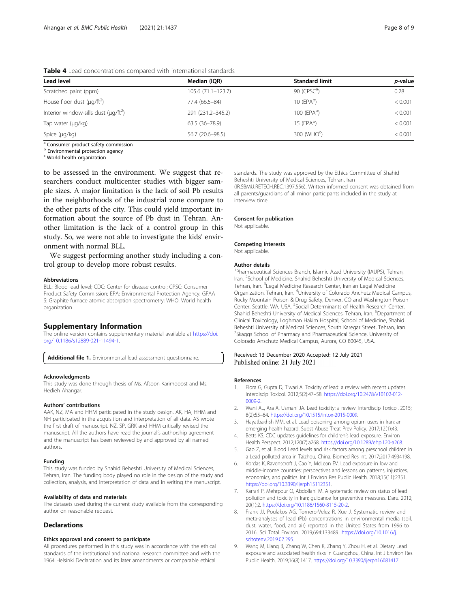| <b>TWATE</b> I LOW CONSCITED FOR CONTROL CONTRATT INTERNATION SCANDED TO A |                    |                           |                 |  |  |
|----------------------------------------------------------------------------|--------------------|---------------------------|-----------------|--|--|
| <b>Lead level</b>                                                          | Median (IQR)       | <b>Standard limit</b>     | <i>p</i> -value |  |  |
| Scratched paint (ppm)                                                      | 105.6 (71.1-123.7) | 90 $(CPSCa)$              | 0.28            |  |  |
| House floor dust $(\mu q / \text{ft}^2)$                                   | 77.4 (66.5-84)     | $10$ (EPA <sup>b</sup> )  | < 0.001         |  |  |
| Interior window-sills dust ( $\mu q / ft^2$ )                              | 291 (231.2-345.2)  | $100$ (EPA <sup>b</sup> ) | < 0.001         |  |  |
| Tap water (µg/kg)                                                          | 63.5 (36-78.9)     | 15 $(FPAb)$               | < 0.001         |  |  |
| Spice (µg/kg)                                                              | 56.7 (20.6-98.5)   | 300 (WHO <sup>o</sup> )   | < 0.001         |  |  |

<span id="page-7-0"></span>Table 4 Lead concentrations compared with international standards

<sup>a</sup> Consumer product safety commission

**b** Environmental protection agency

<sup>c</sup> World health organization

to be assessed in the environment. We suggest that researchers conduct multicenter studies with bigger sample sizes. A major limitation is the lack of soil Pb results in the neighborhoods of the industrial zone compare to the other parts of the city. This could yield important information about the source of Pb dust in Tehran. Another limitation is the lack of a control group in this study. So, we were not able to investigate the kids' environment with normal BLL.

We suggest performing another study including a control group to develop more robust results.

#### Abbreviations

BLL: Blood lead level; CDC: Center for disease control; CPSC: Consumer Product Safety Commission; EPA: Environmental Protection Agency; GFAA S: Graphite furnace atomic absorption spectrometry; WHO: World health organization

# Supplementary Information

The online version contains supplementary material available at [https://doi.](https://doi.org/10.1186/s12889-021-11494-1) [org/10.1186/s12889-021-11494-1.](https://doi.org/10.1186/s12889-021-11494-1)

Additional file 1. Environmental lead assessment questionnaire.

#### Acknowledgments

This study was done through thesis of Ms. Afsoon Karimdoost and Ms. Hedieh Ahangar.

# Authors' contributions

AAK, NZ, MA and HHM participated in the study design. AK, HA, HHM and NH participated in the acquisition and interpretation of all data. AS wrote the first draft of manuscript. NZ, SP, GRK and HHM critically revised the manuscript. All the authors have read the journal's authorship agreement and the manuscript has been reviewed by and approved by all named authors.

#### Funding

This study was funded by Shahid Beheshti University of Medical Sciences, Tehran, Iran. The funding body played no role in the design of the study and collection, analysis, and interpretation of data and in writing the manuscript.

#### Availability of data and materials

The datasets used during the current study available from the corresponding author on reasonable request.

### **Declarations**

#### Ethics approval and consent to participate

All procedures performed in this study was in accordance with the ethical standards of the institutional and national research committee and with the 1964 Helsinki Declaration and its later amendments or comparable ethical

standards. The study was approved by the Ethics Committee of Shahid Beheshti University of Medical Sciences, Tehran, Iran (IR.SBMU.RETECH.REC.1397.556). Written informed consent was obtained from all parents/guardians of all minor participants included in the study at

Consent for publication

Not applicable.

interview time.

### Competing interests

Not applicable.

#### Author details

<sup>1</sup>Pharmaceutical Sciences Branch, Islamic Azad University (IAUPS), Tehran Iran. <sup>2</sup> School of Medicine, Shahid Beheshti University of Medical Sciences, Tehran, Iran. <sup>3</sup>Legal Medicine Research Center, Iranian Legal Medicine Organization, Tehran, Iran. <sup>4</sup>University of Colorado Anchutz Medical Campus, Rocky Mountain Poison & Drug Safety, Denver, CO and Washington Poison Center, Seattle, WA, USA. <sup>5</sup>Social Determinants of Health Research Center, Shahid Beheshti University of Medical Sciences, Tehran, Iran. <sup>6</sup>Department of Clinical Toxicology, Loghman Hakim Hospital, School of Medicine, Shahid Beheshti University of Medical Sciences, South Karegar Street, Tehran, Iran. <sup>7</sup> Skaggs School of Pharmacy and Pharmaceutical Science, University of Colorado Anschutz Medical Campus, Aurora, CO 80045, USA.

# Received: 13 December 2020 Accepted: 12 July 2021 Published online: 21 July 2021

#### References

- Flora G, Gupta D, Tiwari A. Toxicity of lead: a review with recent updates. Interdiscip Toxicol. 2012;5(2):47–58. [https://doi.org/10.2478/v10102-012-](https://doi.org/10.2478/v10102-012-0009-2) [0009-2.](https://doi.org/10.2478/v10102-012-0009-2)
- 2. Wani AL, Ara A, Usmani JA. Lead toxicity: a review. Interdiscip Toxicol. 2015; 8(2):55–64. [https://doi.org/10.1515/intox-2015-0009.](https://doi.org/10.1515/intox-2015-0009)
- 3. Hayatbakhsh MM, et al. Lead poisoning among opium users in Iran: an emerging health hazard. Subst Abuse Treat Prev Policy. 2017;12(1):43.
- 4. Betts KS. CDC updates guidelines for children's lead exposure. Environ Health Perspect. 2012;120(7):a268. <https://doi.org/10.1289/ehp.120-a268>.
- 5. Gao Z, et al. Blood Lead levels and risk factors among preschool children in a Lead polluted area in Taizhou, China. Biomed Res Int. 2017;2017:4934198.
- 6. Kordas K, Ravenscroft J, Cao Y, McLean EV. Lead exposure in low and middle-income countries: perspectives and lessons on patterns, injustices, economics, and politics. Int J Environ Res Public Health. 2018;15(11):2351. <https://doi.org/10.3390/ijerph15112351>.
- 7. Karrari P, Mehrpour O, Abdollahi M. A systematic review on status of lead pollution and toxicity in Iran; guidance for preventive measures. Daru. 2012; 20(1):2. [https://doi.org/10.1186/1560-8115-20-2.](https://doi.org/10.1186/1560-8115-20-2)
- 8. Frank JJ, Poulakos AG, Tornero-Velez R, Xue J. Systematic review and meta-analyses of lead (Pb) concentrations in environmental media (soil, dust, water, food, and air) reported in the United States from 1996 to 2016. Sci Total Environ. 2019;694:133489. [https://doi.org/10.1016/j.](https://doi.org/10.1016/j.scitotenv.2019.07.295) [scitotenv.2019.07.295.](https://doi.org/10.1016/j.scitotenv.2019.07.295)
- 9. Wang M, Liang B, Zhang W, Chen K, Zhang Y, Zhou H, et al. Dietary Lead exposure and associated health risks in Guangzhou, China. Int J Environ Res Public Health. 2019;16(8):1417. <https://doi.org/10.3390/ijerph16081417>.